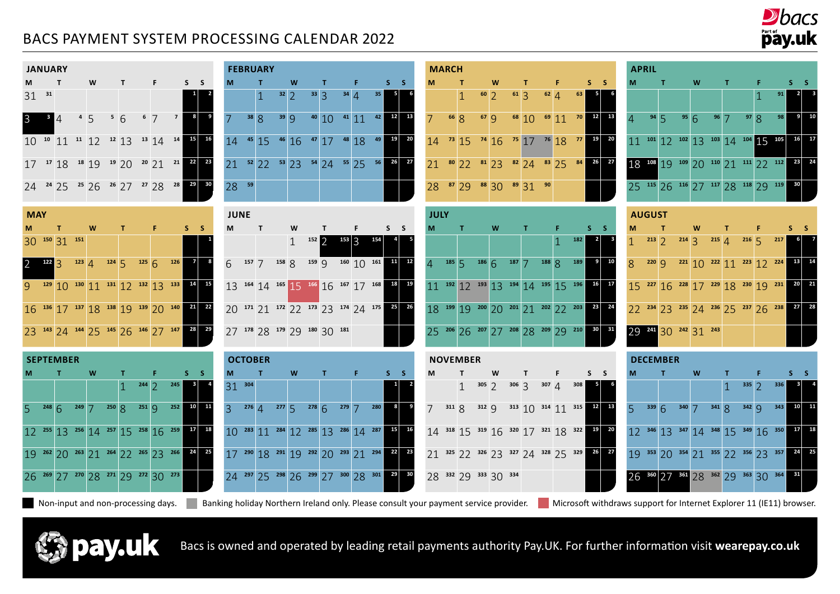## BACS PAYMENT SYSTEM PROCESSING CALENDAR 2022



| <b>JANUARY</b> |    |              |                 |                 |                         |                |      |                         |    |    |
|----------------|----|--------------|-----------------|-----------------|-------------------------|----------------|------|-------------------------|----|----|
| M              |    | т            |                 | W               | Т                       |                | F    |                         | S  | S  |
| 31             | 31 |              |                 |                 |                         |                |      |                         | 1  | 2  |
| 3              | 3  | 14           | $4\overline{5}$ |                 | 56                      | 6 <sup>7</sup> |      | $\overline{\mathbf{z}}$ | 8  | 9  |
| 10             |    | $10^{10}$ 11 |                 | $11$ 12 $12$ 13 |                         |                | 1314 | 14                      | 15 | 16 |
| 17             |    | 1718         |                 | $18$ 19 $19$ 20 |                         | 2021           |      | 21                      | 22 | 23 |
| 24             |    | 2425         |                 |                 | $25$ 26 $26$ 27 $27$ 28 |                |      | 28                      | 29 | 30 |
|                |    |              |                 |                 |                         |                |      |                         |    |    |

**May**

**<sup>150</sup>** 31 **<sup>151</sup> <sup>1</sup>**

| <b>JANUARY</b> |                              |                                                             |           |                     |              |                                                                                                                         |   |             | <b>FEBRUARY</b> |   |                                                                                                                    |    |       |             | <b>MARCH</b> |                 |                      |              |                                                                                                                                                                                                                                                                                                                 |    |     |       |                                                                                                                    | <b>APRIL</b>                                                     |              |                 |   |             |                                                             |     |              |  |
|----------------|------------------------------|-------------------------------------------------------------|-----------|---------------------|--------------|-------------------------------------------------------------------------------------------------------------------------|---|-------------|-----------------|---|--------------------------------------------------------------------------------------------------------------------|----|-------|-------------|--------------|-----------------|----------------------|--------------|-----------------------------------------------------------------------------------------------------------------------------------------------------------------------------------------------------------------------------------------------------------------------------------------------------------------|----|-----|-------|--------------------------------------------------------------------------------------------------------------------|------------------------------------------------------------------|--------------|-----------------|---|-------------|-------------------------------------------------------------|-----|--------------|--|
|                |                              |                                                             | W         | $\mathsf{T}$        | F.           | $S_S$                                                                                                                   |   |             | T.              | W | п.                                                                                                                 | Æ. | $S_S$ |             |              |                 | W                    | $\mathbf{T}$ |                                                                                                                                                                                                                                                                                                                 | F. |     | $S-S$ |                                                                                                                    |                                                                  |              | Τ.              | W | т.          |                                                             |     | S S          |  |
| $31^{31}$      |                              |                                                             |           |                     |              |                                                                                                                         |   |             |                 |   | $32$ 2 $33$ 3 3 $34$ 4 $35$                                                                                        |    |       |             |              |                 |                      |              | $\begin{array}{ccc} 60 & 2 & 61 & 3 & 62 \\ 4 & 2 & 61 & 3 & 62 \\ 60 & 2 & 61 & 3 & 62 \\ 60 & 2 & 61 & 3 & 62 \\ 60 & 2 & 61 & 3 & 62 \\ 60 & 2 & 61 & 3 & 62 \\ 60 & 2 & 62 & 3 & 62 \\ 60 & 2 & 61 & 3 & 62 \\ 60 & 2 & 62 & 3 & 62 \\ 60 & 2 & 61 & 3 & 62 \\ 60 & 2 & 62 & 3 & 62 \\ 60 & 2 & 62 & 3 & 6$ |    | 63  |       |                                                                                                                    |                                                                  |              |                 |   |             |                                                             |     |              |  |
|                | $\overline{\phantom{0}}$ 3 4 |                                                             | $455$ 5 6 |                     | $6 \times 7$ |                                                                                                                         |   |             |                 |   | 7 38 8 39 9 40 10 41 11 42 12 13                                                                                   |    |       |             |              |                 |                      |              |                                                                                                                                                                                                                                                                                                                 |    |     |       |                                                                                                                    | $4 \t 94 \t 5 \t 95 \t 6 \t 96 \t 7 \t 97 \t 8 \t 98 \t 9 \t 10$ |              |                 |   |             |                                                             |     |              |  |
|                |                              |                                                             |           |                     |              | 10 <sup>10</sup> 11 <sup>11</sup> 12 <sup>12</sup> 13 <sup>13</sup> 14 <sup>14</sup> <sup>15</sup> <sup>16</sup>        |   |             |                 |   | $14$ <sup>45</sup> 15 <sup>46</sup> 16 <sup>47</sup> 17 <sup>48</sup> 18 <sup>49</sup> <sup>19</sup> <sup>20</sup> |    |       |             |              |                 |                      |              |                                                                                                                                                                                                                                                                                                                 |    |     |       | $14$ <sup>73</sup> 15 <sup>74</sup> 16 <sup>75</sup> 17 <sup>76</sup> 18 <sup>77</sup> <sup>19</sup> <sup>20</sup> | $11^{101}$ 12 $102$ 13 $103$ 14 $104$ 15 $105$ 16 $17$           |              |                 |   |             |                                                             |     |              |  |
|                |                              |                                                             |           |                     |              | $17$ $17$ $18$ $18$ $19$ $19$ $20$ $20$ $21$ $21$ $22$ $23$                                                             |   |             |                 |   | 21 $52 \begin{array}{ c c c c c c } \hline 22 & 53 & 23 & 54 & 24 & 55 & 25 & 56 & 26 & 27 \ \hline \end{array}$   |    |       |             |              |                 |                      |              | 21 80 22 81 23 82 24 83 25 84 26 27                                                                                                                                                                                                                                                                             |    |     |       |                                                                                                                    | 18 108 19 109 20 110 21 111 22 112 23 24                         |              |                 |   |             |                                                             |     |              |  |
|                |                              |                                                             |           |                     |              | 24 <sup>24</sup> 25 <sup>25</sup> 26 <sup>26</sup> 27 <sup>27</sup> 28 <sup>28</sup> <sup>29</sup> <sup>30</sup>        |   | $28 - 59$   |                 |   |                                                                                                                    |    |       |             |              |                 |                      |              | 28 $\frac{87}{29}$ $\frac{88}{30}$ $\frac{30}{9}$ $\frac{89}{31}$ $\frac{90}{90}$                                                                                                                                                                                                                               |    |     |       |                                                                                                                    | 25 115 26 116 27 117 28 118 29 119 30                            |              |                 |   |             |                                                             |     |              |  |
| <b>MAY</b>     |                              |                                                             |           |                     |              |                                                                                                                         |   | <b>JUNE</b> |                 |   |                                                                                                                    |    |       | <b>JULY</b> |              |                 |                      |              |                                                                                                                                                                                                                                                                                                                 |    |     |       |                                                                                                                    | <b>AUGUST</b>                                                    |              |                 |   |             |                                                             |     |              |  |
|                |                              |                                                             | W         | T.                  | F.           | $S_S$                                                                                                                   | M |             | T               | W |                                                                                                                    | F. | $S_S$ |             |              | $\mathbf{T}$    | W                    | $\mathbf{T}$ |                                                                                                                                                                                                                                                                                                                 | F. |     | $S-S$ |                                                                                                                    |                                                                  | $\mathbf{I}$ |                 | W |             |                                                             |     |              |  |
|                |                              | 30 150 31 151                                               |           |                     |              |                                                                                                                         |   |             |                 |   | $152 \bigcirc$                                                                                                     |    |       |             |              |                 |                      |              |                                                                                                                                                                                                                                                                                                                 |    | 182 |       |                                                                                                                    |                                                                  |              |                 |   |             | $213$ 2 $214$ 3 $215$ 4 $216$ 5 $217$                       |     |              |  |
|                |                              |                                                             |           |                     |              | 2 $122$ 3 $123$ 4 $124$ 5 $125$ 6 $126$ 7 8                                                                             |   |             |                 |   | $6$ $157$ 7 $158$ 8 $159$ 9 $160$ 10 $161$ 11 12                                                                   |    |       |             |              |                 |                      |              | $4^{185}$ 5 $186$ 6 $187$ 7 $188$ 8 $189$                                                                                                                                                                                                                                                                       |    |     |       | $9 \mid 10$                                                                                                        | 8 220 9 221 10 222 11 223 12 224 13 14                           |              |                 |   |             |                                                             |     |              |  |
|                |                              |                                                             |           |                     |              | 9 129 10 130 11 131 12 132 13 133 14 15                                                                                 |   |             |                 |   | 13 164 14 165 15 166 16 167 17 168 18 19                                                                           |    |       |             |              |                 |                      |              |                                                                                                                                                                                                                                                                                                                 |    |     |       | 11 192 12 193 13 194 14 195 15 196 16 17                                                                           | 15 227 16 228 17 229 18 230 19 231                               |              |                 |   |             |                                                             |     | $20 \mid 21$ |  |
|                |                              |                                                             |           |                     |              | $16$ <sup>136</sup> 17 <sup>137</sup> 18 <sup>138</sup> 19 <sup>139</sup> 20 <sup>140</sup> <sup>21</sup> <sup>22</sup> |   |             |                 |   | 20 171 21 172 22 173 23 174 24 175 25 26                                                                           |    |       |             |              |                 |                      |              |                                                                                                                                                                                                                                                                                                                 |    |     |       | 18 199 19 200 200 201 21 202 22 203 23 24                                                                          | 22 234 23 235 24 236 25 237 26 238                               |              |                 |   |             |                                                             |     | $27$ 28      |  |
|                |                              |                                                             |           |                     |              | 23 143 24 144 25 145 26 146 27 147 28 29                                                                                |   |             |                 |   | 27 178 28 179 29 180 30 181                                                                                        |    |       |             |              |                 |                      |              |                                                                                                                                                                                                                                                                                                                 |    |     |       | 25 206 26 207 27 208 28 209 29 210 30 31                                                                           | 29 241 30 242 31 243                                             |              |                 |   |             |                                                             |     |              |  |
|                |                              | <b>SEPTEMBER</b>                                            |           |                     |              |                                                                                                                         |   |             | <b>OCTOBER</b>  |   |                                                                                                                    |    |       |             |              | <b>NOVEMBER</b> |                      |              |                                                                                                                                                                                                                                                                                                                 |    |     |       |                                                                                                                    |                                                                  |              | <b>DECEMBER</b> |   |             |                                                             |     |              |  |
|                |                              | т.                                                          | W         | т.                  | F.           | $S_S$                                                                                                                   |   |             | $\mathbf{T}$    | W | т.                                                                                                                 | F. | $S_S$ |             |              |                 | W                    |              |                                                                                                                                                                                                                                                                                                                 |    |     | $S_S$ |                                                                                                                    |                                                                  |              | $\mathbf{T}$    | W |             |                                                             |     |              |  |
|                |                              |                                                             |           | $1 \t244 \t2 \t245$ |              |                                                                                                                         |   | $31^{304}$  |                 |   |                                                                                                                    |    |       |             |              | $\mathbf{1}$    |                      |              | $305$ 2 $306$ 3 $307$ 4 $308$                                                                                                                                                                                                                                                                                   |    |     |       |                                                                                                                    |                                                                  |              |                 |   | $1^{335}$ 2 |                                                             | 336 |              |  |
|                |                              |                                                             |           |                     |              | $5$ $^{248}$ 6 $^{249}$ 7 $^{250}$ 8 $^{251}$ 9 $^{252}$ 10 11                                                          |   |             |                 |   | 3 $276$ 4 $277$ 5 $278$ 6 $279$ 7 $280$ 8 9                                                                        |    |       |             |              |                 |                      |              |                                                                                                                                                                                                                                                                                                                 |    |     |       | 7 311 8 312 9 313 10 314 11 315 12 13                                                                              | $5^{339}6^{340}7^{341}8^{342}9^{343}10^{11}$                     |              |                 |   |             |                                                             |     |              |  |
|                |                              |                                                             |           |                     |              | $12^{255}$ $13^{256}$ $14^{257}$ $15^{258}$ $16^{259}$ $17^{18}$                                                        |   |             |                 |   | 10 283 11 284 12 285 13 286 14 287 15 16                                                                           |    |       |             |              |                 |                      |              |                                                                                                                                                                                                                                                                                                                 |    |     |       | 14 318 15 319 16 320 17 321 18 322 19 20                                                                           | $12^{346}$ 13 $347$ 14 $348$ 15 $349$ 16 $350$ 17 18             |              |                 |   |             |                                                             |     |              |  |
|                |                              |                                                             |           |                     |              | 19 262 20 263 21 264 22 265 23 266 24 25                                                                                |   |             |                 |   | 17 290 18 291 19 292 20 293 21 294 22 23                                                                           |    |       |             |              |                 |                      |              |                                                                                                                                                                                                                                                                                                                 |    |     |       | 21 325 22 326 23 327 24 328 25 329 26 27                                                                           | 19 353 20 354 21 355 22 356 23 357 24 25                         |              |                 |   |             |                                                             |     |              |  |
|                |                              | 26 $^{269}$ 27 $^{270}$ 28 $^{271}$ 29 $^{272}$ 30 $^{273}$ |           |                     |              |                                                                                                                         |   |             |                 |   | 24 $^{297}$ 25 $^{298}$ 26 $^{299}$ 27 $^{300}$ 28 $^{301}$ $^{29}$ $^{30}$                                        |    |       |             |              |                 | 28 332 29 333 30 334 |              |                                                                                                                                                                                                                                                                                                                 |    |     |       |                                                                                                                    |                                                                  |              |                 |   |             | $26^{360}$ $27^{361}$ $28^{362}$ $29^{363}$ $30^{364}$ $31$ |     |              |  |

Non-input and non-processing days. **Note analy and increase** only. Please consult your payment service provider. Mucrosoft withdraws support for Internet Explorer 11 (IE11) browser.



Bacs is owned and operated by leading retail payments authority Pay.UK. For further information visit **[wearepay.co.uk](http://wearepay.co.uk)**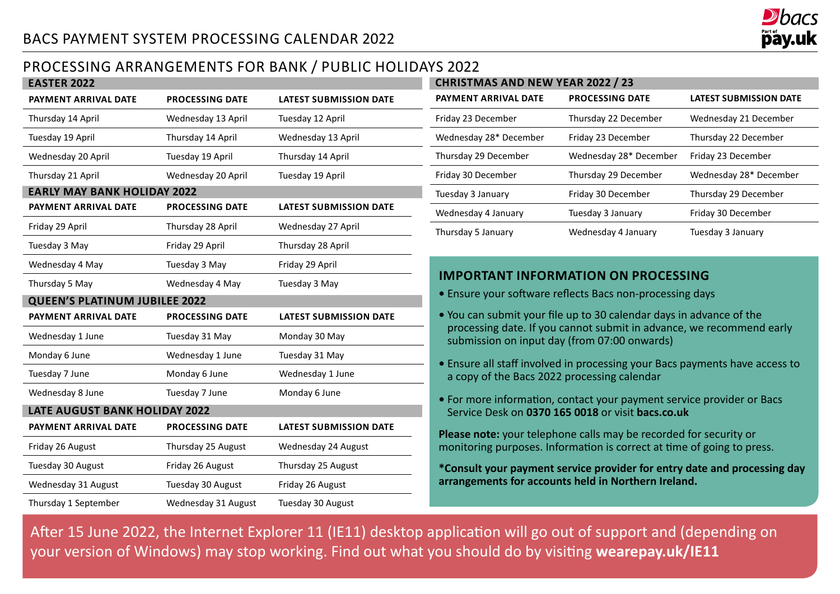

## Processing Arrangements for Bank / Public Holidays 2022

| <b>EASTER 2022</b>                   |                        |                               |
|--------------------------------------|------------------------|-------------------------------|
| PAYMENT ARRIVAL DATE                 | <b>PROCESSING DATE</b> | <b>LATEST SUBMISSION DATE</b> |
| Thursday 14 April                    | Wednesday 13 April     | Tuesday 12 April              |
| Tuesday 19 April                     | Thursday 14 April      | Wednesday 13 April            |
| Wednesday 20 April                   | Tuesday 19 April       | Thursday 14 April             |
| Thursday 21 April                    | Wednesday 20 April     | Tuesday 19 April              |
| <b>EARLY MAY BANK HOLIDAY 2022</b>   |                        |                               |
| <b>PAYMENT ARRIVAL DATE</b>          | <b>PROCESSING DATE</b> | <b>LATEST SUBMISSION DATE</b> |
| Friday 29 April                      | Thursday 28 April      | Wednesday 27 April            |
| Tuesday 3 May                        | Friday 29 April        | Thursday 28 April             |
| Wednesday 4 May                      | Tuesday 3 May          | Friday 29 April               |
| Thursday 5 May                       | Wednesday 4 May        | Tuesday 3 May                 |
| <b>QUEEN'S PLATINUM JUBILEE 2022</b> |                        |                               |
| PAYMENT ARRIVAL DATE                 | <b>PROCESSING DATE</b> | <b>LATEST SUBMISSION DATE</b> |
| Wednesday 1 June                     | Tuesday 31 May         | Monday 30 May                 |
| Monday 6 June                        | Wednesday 1 June       | Tuesday 31 May                |
| Tuesday 7 June                       | Monday 6 June          | Wednesday 1 June              |
| Wednesday 8 June                     | Tuesday 7 June         | Monday 6 June                 |
| <b>LATE AUGUST BANK HOLIDAY 2022</b> |                        |                               |
| PAYMENT ARRIVAL DATE                 | <b>PROCESSING DATE</b> | <b>LATEST SUBMISSION DATE</b> |
| Friday 26 August                     | Thursday 25 August     | Wednesday 24 August           |
| Tuesday 30 August                    | Friday 26 August       | Thursday 25 August            |
| Wednesday 31 August                  | Tuesday 30 August      | Friday 26 August              |
|                                      |                        |                               |

| <b>CHRISTMAS AND NEW YEAR 2022 / 23</b> |                        |                               |  |  |  |  |  |  |  |  |  |  |
|-----------------------------------------|------------------------|-------------------------------|--|--|--|--|--|--|--|--|--|--|
| PAYMENT ARRIVAL DATE                    | <b>PROCESSING DATE</b> | <b>LATEST SUBMISSION DATE</b> |  |  |  |  |  |  |  |  |  |  |
| Friday 23 December                      | Thursday 22 December   | Wednesday 21 December         |  |  |  |  |  |  |  |  |  |  |
| Wednesday 28* December                  | Friday 23 December     | Thursday 22 December          |  |  |  |  |  |  |  |  |  |  |
| Thursday 29 December                    | Wednesday 28* December | Friday 23 December            |  |  |  |  |  |  |  |  |  |  |
| Friday 30 December                      | Thursday 29 December   | Wednesday 28* December        |  |  |  |  |  |  |  |  |  |  |
| Tuesday 3 January                       | Friday 30 December     | Thursday 29 December          |  |  |  |  |  |  |  |  |  |  |
| Wednesday 4 January                     | Tuesday 3 January      | Friday 30 December            |  |  |  |  |  |  |  |  |  |  |
| Thursday 5 January                      | Wednesday 4 January    | Tuesday 3 January             |  |  |  |  |  |  |  |  |  |  |

### **Important Information On Processing**

- Ensure your software reflects Bacs non-processing days
- **•** You can submit your file up to 30 calendar days in advance of the processing date. If you cannot submit in advance, we recommend early submission on input day (from 07:00 onwards)
- Ensure all staff involved in processing your Bacs payments have access to a copy of the Bacs 2022 processing calendar
- **•** For more information, contact your payment service provider or Bacs Service Desk on **0370 165 0018** or visit **[bacs.co.uk](http://www.bacs.co.uk)**

**Please note:** your telephone calls may be recorded for security or monitoring purposes. Information is correct at time of going to press.

**\*Consult your payment service provider for entry date and processing day arrangements for accounts held in Northern Ireland.**

After 15 June 2022, the Internet Explorer 11 (IE11) desktop application will go out of support and (depending on your version of Windows) may stop working. Find out what you should do by visiting **[wearepay.uk/IE1](https://www.wearepay.uk/programmes/changes-to-psw-access/)1**